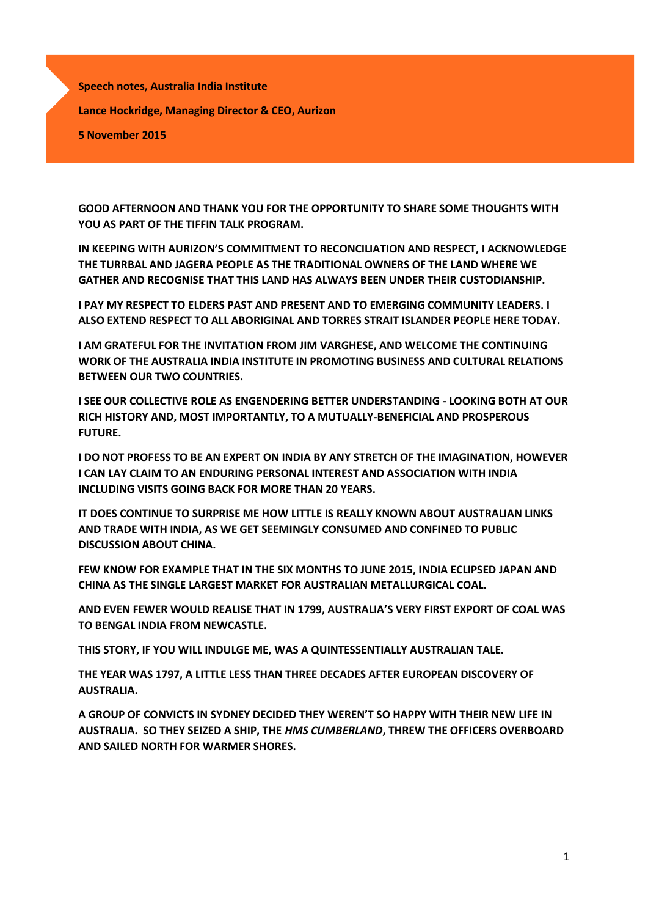**Speech notes, Australia India Institute Lance Hockridge, Managing Director & CEO, Aurizon 5 November 2015**

**GOOD AFTERNOON AND THANK YOU FOR THE OPPORTUNITY TO SHARE SOME THOUGHTS WITH YOU AS PART OF THE TIFFIN TALK PROGRAM.**

**IN KEEPING WITH AURIZON'S COMMITMENT TO RECONCILIATION AND RESPECT, I ACKNOWLEDGE THE TURRBAL AND JAGERA PEOPLE AS THE TRADITIONAL OWNERS OF THE LAND WHERE WE GATHER AND RECOGNISE THAT THIS LAND HAS ALWAYS BEEN UNDER THEIR CUSTODIANSHIP.** 

**I PAY MY RESPECT TO ELDERS PAST AND PRESENT AND TO EMERGING COMMUNITY LEADERS. I ALSO EXTEND RESPECT TO ALL ABORIGINAL AND TORRES STRAIT ISLANDER PEOPLE HERE TODAY.**

**I AM GRATEFUL FOR THE INVITATION FROM JIM VARGHESE, AND WELCOME THE CONTINUING WORK OF THE AUSTRALIA INDIA INSTITUTE IN PROMOTING BUSINESS AND CULTURAL RELATIONS BETWEEN OUR TWO COUNTRIES.**

**I SEE OUR COLLECTIVE ROLE AS ENGENDERING BETTER UNDERSTANDING - LOOKING BOTH AT OUR RICH HISTORY AND, MOST IMPORTANTLY, TO A MUTUALLY-BENEFICIAL AND PROSPEROUS FUTURE.** 

**I DO NOT PROFESS TO BE AN EXPERT ON INDIA BY ANY STRETCH OF THE IMAGINATION, HOWEVER I CAN LAY CLAIM TO AN ENDURING PERSONAL INTEREST AND ASSOCIATION WITH INDIA INCLUDING VISITS GOING BACK FOR MORE THAN 20 YEARS.**

**IT DOES CONTINUE TO SURPRISE ME HOW LITTLE IS REALLY KNOWN ABOUT AUSTRALIAN LINKS AND TRADE WITH INDIA, AS WE GET SEEMINGLY CONSUMED AND CONFINED TO PUBLIC DISCUSSION ABOUT CHINA.**

**FEW KNOW FOR EXAMPLE THAT IN THE SIX MONTHS TO JUNE 2015, INDIA ECLIPSED JAPAN AND CHINA AS THE SINGLE LARGEST MARKET FOR AUSTRALIAN METALLURGICAL COAL.**

**AND EVEN FEWER WOULD REALISE THAT IN 1799, AUSTRALIA'S VERY FIRST EXPORT OF COAL WAS TO BENGAL INDIA FROM NEWCASTLE.**

**THIS STORY, IF YOU WILL INDULGE ME, WAS A QUINTESSENTIALLY AUSTRALIAN TALE.** 

**THE YEAR WAS 1797, A LITTLE LESS THAN THREE DECADES AFTER EUROPEAN DISCOVERY OF AUSTRALIA.**

**A GROUP OF CONVICTS IN SYDNEY DECIDED THEY WEREN'T SO HAPPY WITH THEIR NEW LIFE IN AUSTRALIA. SO THEY SEIZED A SHIP, THE** *HMS CUMBERLAND***, THREW THE OFFICERS OVERBOARD AND SAILED NORTH FOR WARMER SHORES.**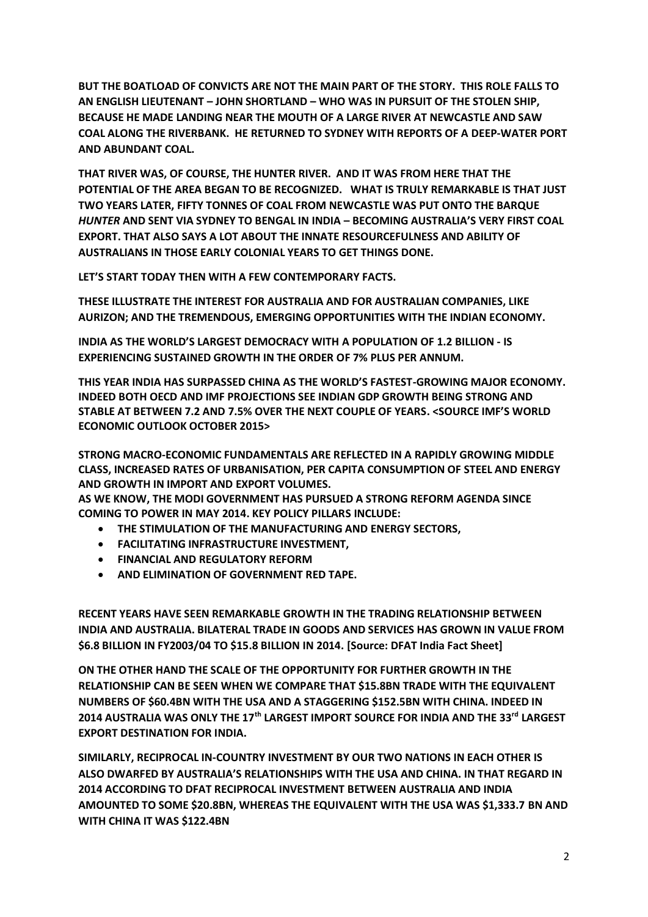**BUT THE BOATLOAD OF CONVICTS ARE NOT THE MAIN PART OF THE STORY. THIS ROLE FALLS TO AN ENGLISH LIEUTENANT – JOHN SHORTLAND – WHO WAS IN PURSUIT OF THE STOLEN SHIP, BECAUSE HE MADE LANDING NEAR THE MOUTH OF A LARGE RIVER AT NEWCASTLE AND SAW COAL ALONG THE RIVERBANK. HE RETURNED TO SYDNEY WITH REPORTS OF A DEEP-WATER PORT AND ABUNDANT COAL.** 

**THAT RIVER WAS, OF COURSE, THE HUNTER RIVER. AND IT WAS FROM HERE THAT THE POTENTIAL OF THE AREA BEGAN TO BE RECOGNIZED. WHAT IS TRULY REMARKABLE IS THAT JUST TWO YEARS LATER, FIFTY TONNES OF COAL FROM NEWCASTLE WAS PUT ONTO THE BARQUE**  *HUNTER* **AND SENT VIA SYDNEY TO BENGAL IN INDIA – BECOMING AUSTRALIA'S VERY FIRST COAL EXPORT. THAT ALSO SAYS A LOT ABOUT THE INNATE RESOURCEFULNESS AND ABILITY OF AUSTRALIANS IN THOSE EARLY COLONIAL YEARS TO GET THINGS DONE.**

**LET'S START TODAY THEN WITH A FEW CONTEMPORARY FACTS.**

**THESE ILLUSTRATE THE INTEREST FOR AUSTRALIA AND FOR AUSTRALIAN COMPANIES, LIKE AURIZON; AND THE TREMENDOUS, EMERGING OPPORTUNITIES WITH THE INDIAN ECONOMY.** 

**INDIA AS THE WORLD'S LARGEST DEMOCRACY WITH A POPULATION OF 1.2 BILLION - IS EXPERIENCING SUSTAINED GROWTH IN THE ORDER OF 7% PLUS PER ANNUM.** 

**THIS YEAR INDIA HAS SURPASSED CHINA AS THE WORLD'S FASTEST-GROWING MAJOR ECONOMY. INDEED BOTH OECD AND IMF PROJECTIONS SEE INDIAN GDP GROWTH BEING STRONG AND STABLE AT BETWEEN 7.2 AND 7.5% OVER THE NEXT COUPLE OF YEARS. <SOURCE IMF'S WORLD ECONOMIC OUTLOOK OCTOBER 2015>**

**STRONG MACRO-ECONOMIC FUNDAMENTALS ARE REFLECTED IN A RAPIDLY GROWING MIDDLE CLASS, INCREASED RATES OF URBANISATION, PER CAPITA CONSUMPTION OF STEEL AND ENERGY AND GROWTH IN IMPORT AND EXPORT VOLUMES.** 

**AS WE KNOW, THE MODI GOVERNMENT HAS PURSUED A STRONG REFORM AGENDA SINCE COMING TO POWER IN MAY 2014. KEY POLICY PILLARS INCLUDE:**

- **THE STIMULATION OF THE MANUFACTURING AND ENERGY SECTORS,**
- **FACILITATING INFRASTRUCTURE INVESTMENT,**
- **FINANCIAL AND REGULATORY REFORM**
- **AND ELIMINATION OF GOVERNMENT RED TAPE.**

**RECENT YEARS HAVE SEEN REMARKABLE GROWTH IN THE TRADING RELATIONSHIP BETWEEN INDIA AND AUSTRALIA. BILATERAL TRADE IN GOODS AND SERVICES HAS GROWN IN VALUE FROM \$6.8 BILLION IN FY2003/04 TO \$15.8 BILLION IN 2014. [Source: DFAT India Fact Sheet]**

**ON THE OTHER HAND THE SCALE OF THE OPPORTUNITY FOR FURTHER GROWTH IN THE RELATIONSHIP CAN BE SEEN WHEN WE COMPARE THAT \$15.8BN TRADE WITH THE EQUIVALENT NUMBERS OF \$60.4BN WITH THE USA AND A STAGGERING \$152.5BN WITH CHINA. INDEED IN 2014 AUSTRALIA WAS ONLY THE 17th LARGEST IMPORT SOURCE FOR INDIA AND THE 33rd LARGEST EXPORT DESTINATION FOR INDIA.**

**SIMILARLY, RECIPROCAL IN-COUNTRY INVESTMENT BY OUR TWO NATIONS IN EACH OTHER IS ALSO DWARFED BY AUSTRALIA'S RELATIONSHIPS WITH THE USA AND CHINA. IN THAT REGARD IN 2014 ACCORDING TO DFAT RECIPROCAL INVESTMENT BETWEEN AUSTRALIA AND INDIA AMOUNTED TO SOME \$20.8BN, WHEREAS THE EQUIVALENT WITH THE USA WAS \$1,333.7 BN AND WITH CHINA IT WAS \$122.4BN**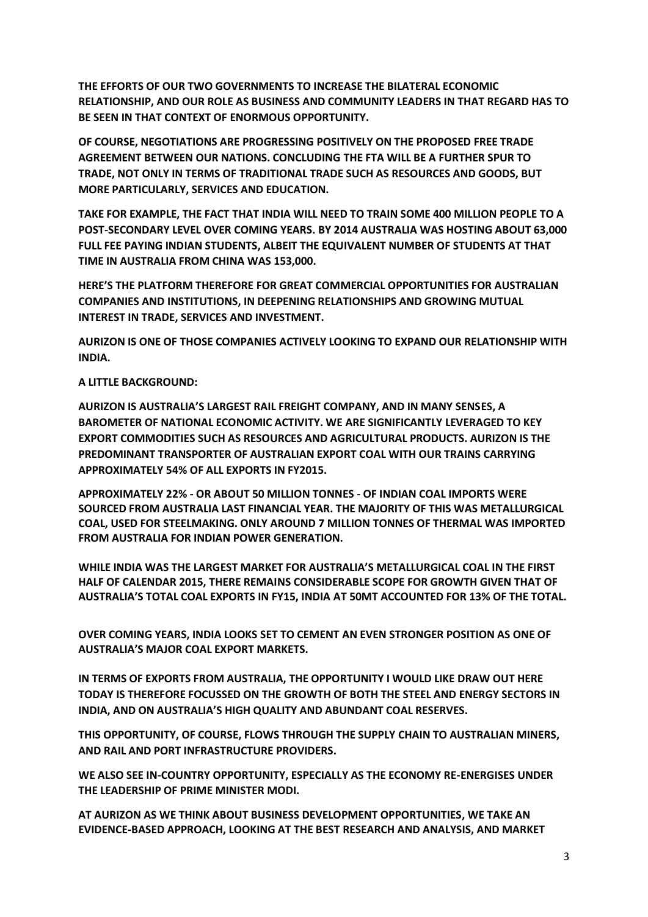**THE EFFORTS OF OUR TWO GOVERNMENTS TO INCREASE THE BILATERAL ECONOMIC RELATIONSHIP, AND OUR ROLE AS BUSINESS AND COMMUNITY LEADERS IN THAT REGARD HAS TO BE SEEN IN THAT CONTEXT OF ENORMOUS OPPORTUNITY.** 

**OF COURSE, NEGOTIATIONS ARE PROGRESSING POSITIVELY ON THE PROPOSED FREE TRADE AGREEMENT BETWEEN OUR NATIONS. CONCLUDING THE FTA WILL BE A FURTHER SPUR TO TRADE, NOT ONLY IN TERMS OF TRADITIONAL TRADE SUCH AS RESOURCES AND GOODS, BUT MORE PARTICULARLY, SERVICES AND EDUCATION.**

**TAKE FOR EXAMPLE, THE FACT THAT INDIA WILL NEED TO TRAIN SOME 400 MILLION PEOPLE TO A POST-SECONDARY LEVEL OVER COMING YEARS. BY 2014 AUSTRALIA WAS HOSTING ABOUT 63,000 FULL FEE PAYING INDIAN STUDENTS, ALBEIT THE EQUIVALENT NUMBER OF STUDENTS AT THAT TIME IN AUSTRALIA FROM CHINA WAS 153,000.**

**HERE'S THE PLATFORM THEREFORE FOR GREAT COMMERCIAL OPPORTUNITIES FOR AUSTRALIAN COMPANIES AND INSTITUTIONS, IN DEEPENING RELATIONSHIPS AND GROWING MUTUAL INTEREST IN TRADE, SERVICES AND INVESTMENT.**

**AURIZON IS ONE OF THOSE COMPANIES ACTIVELY LOOKING TO EXPAND OUR RELATIONSHIP WITH INDIA.** 

**A LITTLE BACKGROUND:**

**AURIZON IS AUSTRALIA'S LARGEST RAIL FREIGHT COMPANY, AND IN MANY SENSES, A BAROMETER OF NATIONAL ECONOMIC ACTIVITY. WE ARE SIGNIFICANTLY LEVERAGED TO KEY EXPORT COMMODITIES SUCH AS RESOURCES AND AGRICULTURAL PRODUCTS. AURIZON IS THE PREDOMINANT TRANSPORTER OF AUSTRALIAN EXPORT COAL WITH OUR TRAINS CARRYING APPROXIMATELY 54% OF ALL EXPORTS IN FY2015.** 

**APPROXIMATELY 22% - OR ABOUT 50 MILLION TONNES - OF INDIAN COAL IMPORTS WERE SOURCED FROM AUSTRALIA LAST FINANCIAL YEAR. THE MAJORITY OF THIS WAS METALLURGICAL COAL, USED FOR STEELMAKING. ONLY AROUND 7 MILLION TONNES OF THERMAL WAS IMPORTED FROM AUSTRALIA FOR INDIAN POWER GENERATION.**

**WHILE INDIA WAS THE LARGEST MARKET FOR AUSTRALIA'S METALLURGICAL COAL IN THE FIRST HALF OF CALENDAR 2015, THERE REMAINS CONSIDERABLE SCOPE FOR GROWTH GIVEN THAT OF AUSTRALIA'S TOTAL COAL EXPORTS IN FY15, INDIA AT 50MT ACCOUNTED FOR 13% OF THE TOTAL.**

**OVER COMING YEARS, INDIA LOOKS SET TO CEMENT AN EVEN STRONGER POSITION AS ONE OF AUSTRALIA'S MAJOR COAL EXPORT MARKETS.**

**IN TERMS OF EXPORTS FROM AUSTRALIA, THE OPPORTUNITY I WOULD LIKE DRAW OUT HERE TODAY IS THEREFORE FOCUSSED ON THE GROWTH OF BOTH THE STEEL AND ENERGY SECTORS IN INDIA, AND ON AUSTRALIA'S HIGH QUALITY AND ABUNDANT COAL RESERVES.** 

**THIS OPPORTUNITY, OF COURSE, FLOWS THROUGH THE SUPPLY CHAIN TO AUSTRALIAN MINERS, AND RAIL AND PORT INFRASTRUCTURE PROVIDERS.**

**WE ALSO SEE IN-COUNTRY OPPORTUNITY, ESPECIALLY AS THE ECONOMY RE-ENERGISES UNDER THE LEADERSHIP OF PRIME MINISTER MODI.**

**AT AURIZON AS WE THINK ABOUT BUSINESS DEVELOPMENT OPPORTUNITIES, WE TAKE AN EVIDENCE-BASED APPROACH, LOOKING AT THE BEST RESEARCH AND ANALYSIS, AND MARKET**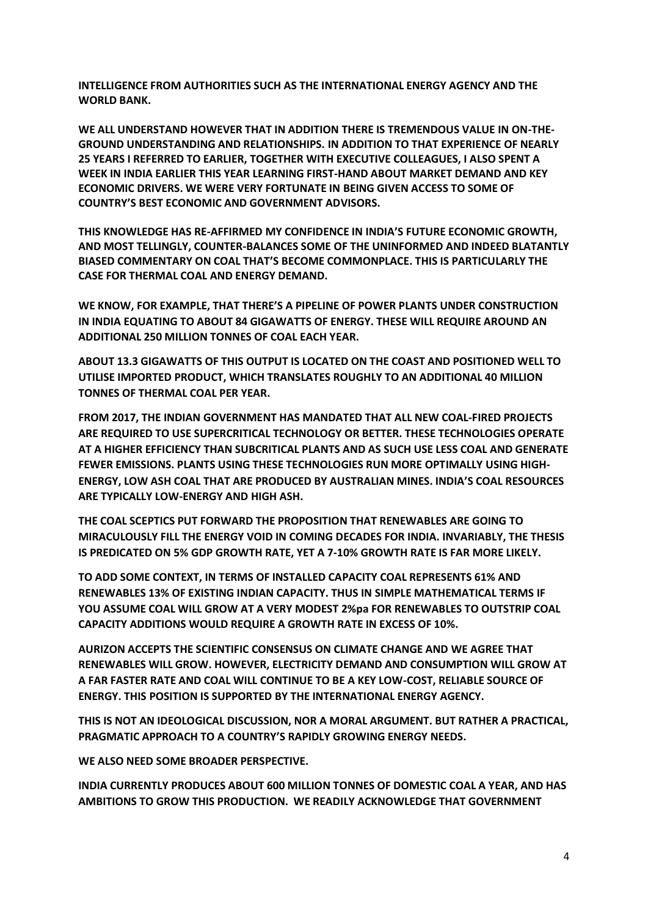**INTELLIGENCE FROM AUTHORITIES SUCH AS THE INTERNATIONAL ENERGY AGENCY AND THE WORLD BANK.** 

**WE ALL UNDERSTAND HOWEVER THAT IN ADDITION THERE IS TREMENDOUS VALUE IN ON-THE-GROUND UNDERSTANDING AND RELATIONSHIPS. IN ADDITION TO THAT EXPERIENCE OF NEARLY 25 YEARS I REFERRED TO EARLIER, TOGETHER WITH EXECUTIVE COLLEAGUES, I ALSO SPENT A WEEK IN INDIA EARLIER THIS YEAR LEARNING FIRST-HAND ABOUT MARKET DEMAND AND KEY ECONOMIC DRIVERS. WE WERE VERY FORTUNATE IN BEING GIVEN ACCESS TO SOME OF COUNTRY'S BEST ECONOMIC AND GOVERNMENT ADVISORS.**

**THIS KNOWLEDGE HAS RE-AFFIRMED MY CONFIDENCE IN INDIA'S FUTURE ECONOMIC GROWTH, AND MOST TELLINGLY, COUNTER-BALANCES SOME OF THE UNINFORMED AND INDEED BLATANTLY BIASED COMMENTARY ON COAL THAT'S BECOME COMMONPLACE. THIS IS PARTICULARLY THE CASE FOR THERMAL COAL AND ENERGY DEMAND.**

**WE KNOW, FOR EXAMPLE, THAT THERE'S A PIPELINE OF POWER PLANTS UNDER CONSTRUCTION IN INDIA EQUATING TO ABOUT 84 GIGAWATTS OF ENERGY. THESE WILL REQUIRE AROUND AN ADDITIONAL 250 MILLION TONNES OF COAL EACH YEAR.**

**ABOUT 13.3 GIGAWATTS OF THIS OUTPUT IS LOCATED ON THE COAST AND POSITIONED WELL TO UTILISE IMPORTED PRODUCT, WHICH TRANSLATES ROUGHLY TO AN ADDITIONAL 40 MILLION TONNES OF THERMAL COAL PER YEAR.**

**FROM 2017, THE INDIAN GOVERNMENT HAS MANDATED THAT ALL NEW COAL-FIRED PROJECTS ARE REQUIRED TO USE SUPERCRITICAL TECHNOLOGY OR BETTER. THESE TECHNOLOGIES OPERATE AT A HIGHER EFFICIENCY THAN SUBCRITICAL PLANTS AND AS SUCH USE LESS COAL AND GENERATE FEWER EMISSIONS. PLANTS USING THESE TECHNOLOGIES RUN MORE OPTIMALLY USING HIGH-ENERGY, LOW ASH COAL THAT ARE PRODUCED BY AUSTRALIAN MINES. INDIA'S COAL RESOURCES ARE TYPICALLY LOW-ENERGY AND HIGH ASH.**

**THE COAL SCEPTICS PUT FORWARD THE PROPOSITION THAT RENEWABLES ARE GOING TO MIRACULOUSLY FILL THE ENERGY VOID IN COMING DECADES FOR INDIA. INVARIABLY, THE THESIS IS PREDICATED ON 5% GDP GROWTH RATE, YET A 7-10% GROWTH RATE IS FAR MORE LIKELY.** 

**TO ADD SOME CONTEXT, IN TERMS OF INSTALLED CAPACITY COAL REPRESENTS 61% AND RENEWABLES 13% OF EXISTING INDIAN CAPACITY. THUS IN SIMPLE MATHEMATICAL TERMS IF YOU ASSUME COAL WILL GROW AT A VERY MODEST 2%pa FOR RENEWABLES TO OUTSTRIP COAL CAPACITY ADDITIONS WOULD REQUIRE A GROWTH RATE IN EXCESS OF 10%.**

**AURIZON ACCEPTS THE SCIENTIFIC CONSENSUS ON CLIMATE CHANGE AND WE AGREE THAT RENEWABLES WILL GROW. HOWEVER, ELECTRICITY DEMAND AND CONSUMPTION WILL GROW AT A FAR FASTER RATE AND COAL WILL CONTINUE TO BE A KEY LOW-COST, RELIABLE SOURCE OF ENERGY. THIS POSITION IS SUPPORTED BY THE INTERNATIONAL ENERGY AGENCY.**

**THIS IS NOT AN IDEOLOGICAL DISCUSSION, NOR A MORAL ARGUMENT. BUT RATHER A PRACTICAL, PRAGMATIC APPROACH TO A COUNTRY'S RAPIDLY GROWING ENERGY NEEDS.**

**WE ALSO NEED SOME BROADER PERSPECTIVE.** 

**INDIA CURRENTLY PRODUCES ABOUT 600 MILLION TONNES OF DOMESTIC COAL A YEAR, AND HAS AMBITIONS TO GROW THIS PRODUCTION. WE READILY ACKNOWLEDGE THAT GOVERNMENT**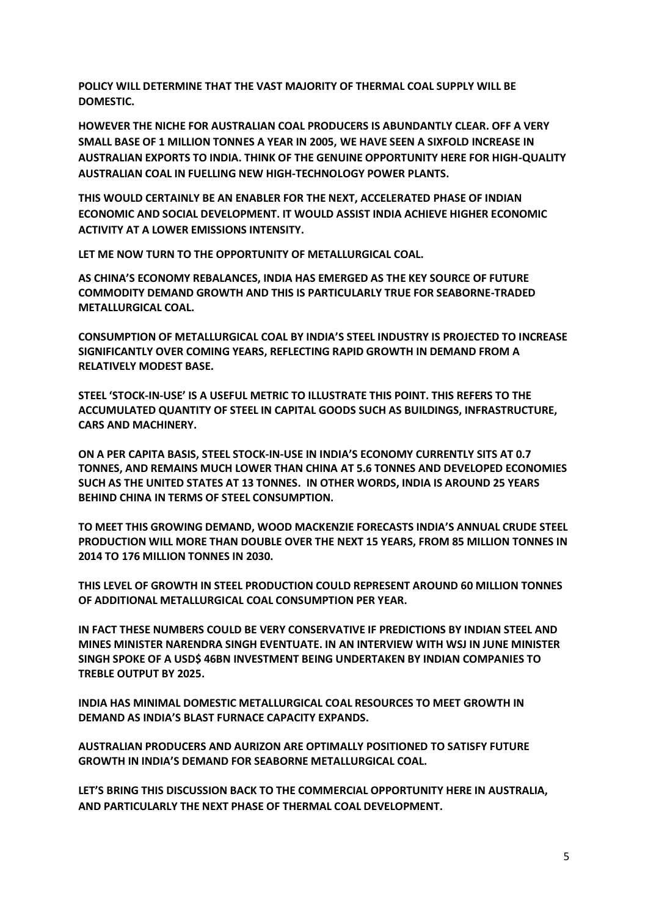**POLICY WILL DETERMINE THAT THE VAST MAJORITY OF THERMAL COAL SUPPLY WILL BE DOMESTIC.**

**HOWEVER THE NICHE FOR AUSTRALIAN COAL PRODUCERS IS ABUNDANTLY CLEAR. OFF A VERY SMALL BASE OF 1 MILLION TONNES A YEAR IN 2005, WE HAVE SEEN A SIXFOLD INCREASE IN AUSTRALIAN EXPORTS TO INDIA. THINK OF THE GENUINE OPPORTUNITY HERE FOR HIGH-QUALITY AUSTRALIAN COAL IN FUELLING NEW HIGH-TECHNOLOGY POWER PLANTS.** 

**THIS WOULD CERTAINLY BE AN ENABLER FOR THE NEXT, ACCELERATED PHASE OF INDIAN ECONOMIC AND SOCIAL DEVELOPMENT. IT WOULD ASSIST INDIA ACHIEVE HIGHER ECONOMIC ACTIVITY AT A LOWER EMISSIONS INTENSITY.**

**LET ME NOW TURN TO THE OPPORTUNITY OF METALLURGICAL COAL.**

**AS CHINA'S ECONOMY REBALANCES, INDIA HAS EMERGED AS THE KEY SOURCE OF FUTURE COMMODITY DEMAND GROWTH AND THIS IS PARTICULARLY TRUE FOR SEABORNE-TRADED METALLURGICAL COAL.** 

**CONSUMPTION OF METALLURGICAL COAL BY INDIA'S STEEL INDUSTRY IS PROJECTED TO INCREASE SIGNIFICANTLY OVER COMING YEARS, REFLECTING RAPID GROWTH IN DEMAND FROM A RELATIVELY MODEST BASE.**

**STEEL 'STOCK-IN-USE' IS A USEFUL METRIC TO ILLUSTRATE THIS POINT. THIS REFERS TO THE ACCUMULATED QUANTITY OF STEEL IN CAPITAL GOODS SUCH AS BUILDINGS, INFRASTRUCTURE, CARS AND MACHINERY.**

**ON A PER CAPITA BASIS, STEEL STOCK-IN-USE IN INDIA'S ECONOMY CURRENTLY SITS AT 0.7 TONNES, AND REMAINS MUCH LOWER THAN CHINA AT 5.6 TONNES AND DEVELOPED ECONOMIES SUCH AS THE UNITED STATES AT 13 TONNES. IN OTHER WORDS, INDIA IS AROUND 25 YEARS BEHIND CHINA IN TERMS OF STEEL CONSUMPTION.** 

**TO MEET THIS GROWING DEMAND, WOOD MACKENZIE FORECASTS INDIA'S ANNUAL CRUDE STEEL PRODUCTION WILL MORE THAN DOUBLE OVER THE NEXT 15 YEARS, FROM 85 MILLION TONNES IN 2014 TO 176 MILLION TONNES IN 2030.** 

**THIS LEVEL OF GROWTH IN STEEL PRODUCTION COULD REPRESENT AROUND 60 MILLION TONNES OF ADDITIONAL METALLURGICAL COAL CONSUMPTION PER YEAR.**

**IN FACT THESE NUMBERS COULD BE VERY CONSERVATIVE IF PREDICTIONS BY INDIAN STEEL AND MINES MINISTER NARENDRA SINGH EVENTUATE. IN AN INTERVIEW WITH WSJ IN JUNE MINISTER SINGH SPOKE OF A USD\$ 46BN INVESTMENT BEING UNDERTAKEN BY INDIAN COMPANIES TO TREBLE OUTPUT BY 2025.**

**INDIA HAS MINIMAL DOMESTIC METALLURGICAL COAL RESOURCES TO MEET GROWTH IN DEMAND AS INDIA'S BLAST FURNACE CAPACITY EXPANDS.**

**AUSTRALIAN PRODUCERS AND AURIZON ARE OPTIMALLY POSITIONED TO SATISFY FUTURE GROWTH IN INDIA'S DEMAND FOR SEABORNE METALLURGICAL COAL.**

**LET'S BRING THIS DISCUSSION BACK TO THE COMMERCIAL OPPORTUNITY HERE IN AUSTRALIA, AND PARTICULARLY THE NEXT PHASE OF THERMAL COAL DEVELOPMENT.**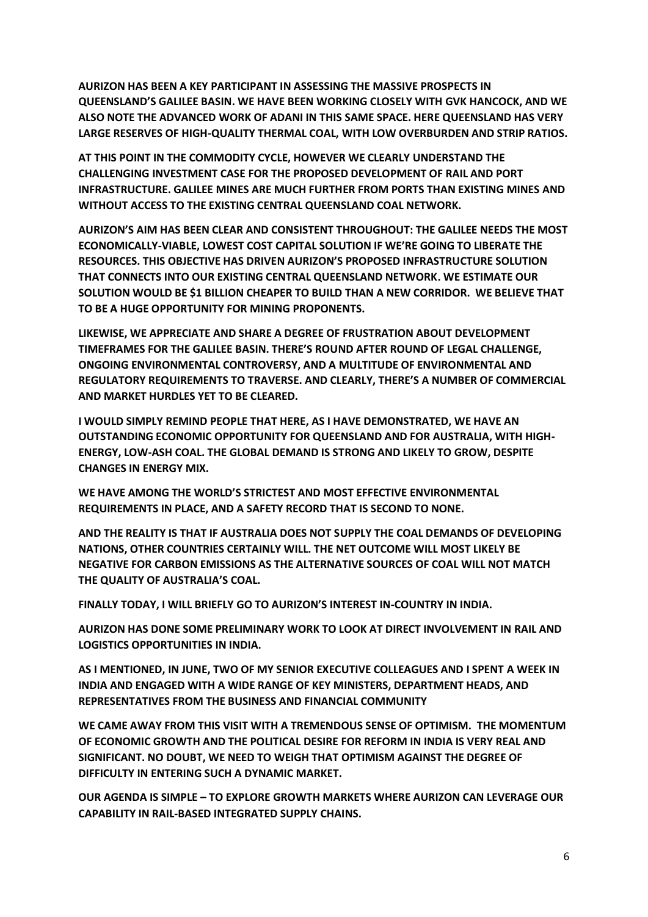**AURIZON HAS BEEN A KEY PARTICIPANT IN ASSESSING THE MASSIVE PROSPECTS IN QUEENSLAND'S GALILEE BASIN. WE HAVE BEEN WORKING CLOSELY WITH GVK HANCOCK, AND WE ALSO NOTE THE ADVANCED WORK OF ADANI IN THIS SAME SPACE. HERE QUEENSLAND HAS VERY LARGE RESERVES OF HIGH-QUALITY THERMAL COAL, WITH LOW OVERBURDEN AND STRIP RATIOS.**

**AT THIS POINT IN THE COMMODITY CYCLE, HOWEVER WE CLEARLY UNDERSTAND THE CHALLENGING INVESTMENT CASE FOR THE PROPOSED DEVELOPMENT OF RAIL AND PORT INFRASTRUCTURE. GALILEE MINES ARE MUCH FURTHER FROM PORTS THAN EXISTING MINES AND WITHOUT ACCESS TO THE EXISTING CENTRAL QUEENSLAND COAL NETWORK.**

**AURIZON'S AIM HAS BEEN CLEAR AND CONSISTENT THROUGHOUT: THE GALILEE NEEDS THE MOST ECONOMICALLY-VIABLE, LOWEST COST CAPITAL SOLUTION IF WE'RE GOING TO LIBERATE THE RESOURCES. THIS OBJECTIVE HAS DRIVEN AURIZON'S PROPOSED INFRASTRUCTURE SOLUTION THAT CONNECTS INTO OUR EXISTING CENTRAL QUEENSLAND NETWORK. WE ESTIMATE OUR SOLUTION WOULD BE \$1 BILLION CHEAPER TO BUILD THAN A NEW CORRIDOR. WE BELIEVE THAT TO BE A HUGE OPPORTUNITY FOR MINING PROPONENTS.** 

**LIKEWISE, WE APPRECIATE AND SHARE A DEGREE OF FRUSTRATION ABOUT DEVELOPMENT TIMEFRAMES FOR THE GALILEE BASIN. THERE'S ROUND AFTER ROUND OF LEGAL CHALLENGE, ONGOING ENVIRONMENTAL CONTROVERSY, AND A MULTITUDE OF ENVIRONMENTAL AND REGULATORY REQUIREMENTS TO TRAVERSE. AND CLEARLY, THERE'S A NUMBER OF COMMERCIAL AND MARKET HURDLES YET TO BE CLEARED.** 

**I WOULD SIMPLY REMIND PEOPLE THAT HERE, AS I HAVE DEMONSTRATED, WE HAVE AN OUTSTANDING ECONOMIC OPPORTUNITY FOR QUEENSLAND AND FOR AUSTRALIA, WITH HIGH-ENERGY, LOW-ASH COAL. THE GLOBAL DEMAND IS STRONG AND LIKELY TO GROW, DESPITE CHANGES IN ENERGY MIX.** 

**WE HAVE AMONG THE WORLD'S STRICTEST AND MOST EFFECTIVE ENVIRONMENTAL REQUIREMENTS IN PLACE, AND A SAFETY RECORD THAT IS SECOND TO NONE.** 

**AND THE REALITY IS THAT IF AUSTRALIA DOES NOT SUPPLY THE COAL DEMANDS OF DEVELOPING NATIONS, OTHER COUNTRIES CERTAINLY WILL. THE NET OUTCOME WILL MOST LIKELY BE NEGATIVE FOR CARBON EMISSIONS AS THE ALTERNATIVE SOURCES OF COAL WILL NOT MATCH THE QUALITY OF AUSTRALIA'S COAL.**

**FINALLY TODAY, I WILL BRIEFLY GO TO AURIZON'S INTEREST IN-COUNTRY IN INDIA.** 

**AURIZON HAS DONE SOME PRELIMINARY WORK TO LOOK AT DIRECT INVOLVEMENT IN RAIL AND LOGISTICS OPPORTUNITIES IN INDIA.**

**AS I MENTIONED, IN JUNE, TWO OF MY SENIOR EXECUTIVE COLLEAGUES AND I SPENT A WEEK IN INDIA AND ENGAGED WITH A WIDE RANGE OF KEY MINISTERS, DEPARTMENT HEADS, AND REPRESENTATIVES FROM THE BUSINESS AND FINANCIAL COMMUNITY**

**WE CAME AWAY FROM THIS VISIT WITH A TREMENDOUS SENSE OF OPTIMISM. THE MOMENTUM OF ECONOMIC GROWTH AND THE POLITICAL DESIRE FOR REFORM IN INDIA IS VERY REAL AND SIGNIFICANT. NO DOUBT, WE NEED TO WEIGH THAT OPTIMISM AGAINST THE DEGREE OF DIFFICULTY IN ENTERING SUCH A DYNAMIC MARKET.**

**OUR AGENDA IS SIMPLE – TO EXPLORE GROWTH MARKETS WHERE AURIZON CAN LEVERAGE OUR CAPABILITY IN RAIL-BASED INTEGRATED SUPPLY CHAINS.**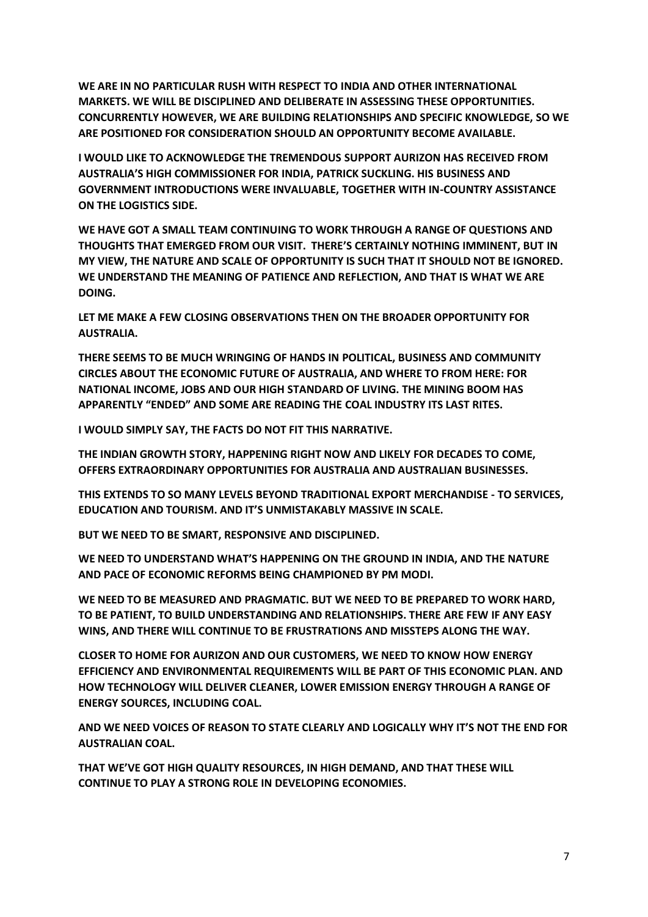**WE ARE IN NO PARTICULAR RUSH WITH RESPECT TO INDIA AND OTHER INTERNATIONAL MARKETS. WE WILL BE DISCIPLINED AND DELIBERATE IN ASSESSING THESE OPPORTUNITIES. CONCURRENTLY HOWEVER, WE ARE BUILDING RELATIONSHIPS AND SPECIFIC KNOWLEDGE, SO WE ARE POSITIONED FOR CONSIDERATION SHOULD AN OPPORTUNITY BECOME AVAILABLE.**

**I WOULD LIKE TO ACKNOWLEDGE THE TREMENDOUS SUPPORT AURIZON HAS RECEIVED FROM AUSTRALIA'S HIGH COMMISSIONER FOR INDIA, PATRICK SUCKLING. HIS BUSINESS AND GOVERNMENT INTRODUCTIONS WERE INVALUABLE, TOGETHER WITH IN-COUNTRY ASSISTANCE ON THE LOGISTICS SIDE.**

**WE HAVE GOT A SMALL TEAM CONTINUING TO WORK THROUGH A RANGE OF QUESTIONS AND THOUGHTS THAT EMERGED FROM OUR VISIT. THERE'S CERTAINLY NOTHING IMMINENT, BUT IN MY VIEW, THE NATURE AND SCALE OF OPPORTUNITY IS SUCH THAT IT SHOULD NOT BE IGNORED. WE UNDERSTAND THE MEANING OF PATIENCE AND REFLECTION, AND THAT IS WHAT WE ARE DOING.**

**LET ME MAKE A FEW CLOSING OBSERVATIONS THEN ON THE BROADER OPPORTUNITY FOR AUSTRALIA.**

**THERE SEEMS TO BE MUCH WRINGING OF HANDS IN POLITICAL, BUSINESS AND COMMUNITY CIRCLES ABOUT THE ECONOMIC FUTURE OF AUSTRALIA, AND WHERE TO FROM HERE: FOR NATIONAL INCOME, JOBS AND OUR HIGH STANDARD OF LIVING. THE MINING BOOM HAS APPARENTLY "ENDED" AND SOME ARE READING THE COAL INDUSTRY ITS LAST RITES.**

**I WOULD SIMPLY SAY, THE FACTS DO NOT FIT THIS NARRATIVE.**

**THE INDIAN GROWTH STORY, HAPPENING RIGHT NOW AND LIKELY FOR DECADES TO COME, OFFERS EXTRAORDINARY OPPORTUNITIES FOR AUSTRALIA AND AUSTRALIAN BUSINESSES.** 

**THIS EXTENDS TO SO MANY LEVELS BEYOND TRADITIONAL EXPORT MERCHANDISE - TO SERVICES, EDUCATION AND TOURISM. AND IT'S UNMISTAKABLY MASSIVE IN SCALE.**

**BUT WE NEED TO BE SMART, RESPONSIVE AND DISCIPLINED.** 

WE NEED TO UNDERSTAND WHAT'S HAPPENING ON THE GROUND IN INDIA, AND THE NATURE **AND PACE OF ECONOMIC REFORMS BEING CHAMPIONED BY PM MODI.** 

**WE NEED TO BE MEASURED AND PRAGMATIC. BUT WE NEED TO BE PREPARED TO WORK HARD, TO BE PATIENT, TO BUILD UNDERSTANDING AND RELATIONSHIPS. THERE ARE FEW IF ANY EASY WINS, AND THERE WILL CONTINUE TO BE FRUSTRATIONS AND MISSTEPS ALONG THE WAY.**

**CLOSER TO HOME FOR AURIZON AND OUR CUSTOMERS, WE NEED TO KNOW HOW ENERGY EFFICIENCY AND ENVIRONMENTAL REQUIREMENTS WILL BE PART OF THIS ECONOMIC PLAN. AND HOW TECHNOLOGY WILL DELIVER CLEANER, LOWER EMISSION ENERGY THROUGH A RANGE OF ENERGY SOURCES, INCLUDING COAL.**

**AND WE NEED VOICES OF REASON TO STATE CLEARLY AND LOGICALLY WHY IT'S NOT THE END FOR AUSTRALIAN COAL.**

**THAT WE'VE GOT HIGH QUALITY RESOURCES, IN HIGH DEMAND, AND THAT THESE WILL CONTINUE TO PLAY A STRONG ROLE IN DEVELOPING ECONOMIES.**